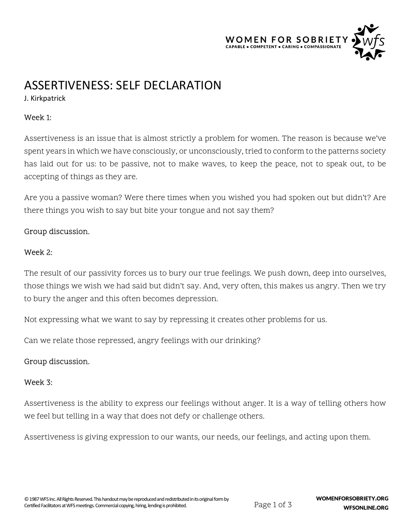

# ASSERTIVENESS: SELF DECLARATION

J. Kirkpatrick

## Week 1:

Assertiveness is an issue that is almost strictly a problem for women. The reason is because we've spent years in which we have consciously, or unconsciously, tried to conform to the patterns society has laid out for us: to be passive, not to make waves, to keep the peace, not to speak out, to be accepting of things as they are.

Are you a passive woman? Were there times when you wished you had spoken out but didn't? Are there things you wish to say but bite your tongue and not say them?

## Group discussion.

#### Week 2:

The result of our passivity forces us to bury our true feelings. We push down, deep into ourselves, those things we wish we had said but didn't say. And, very often, this makes us angry. Then we try to bury the anger and this often becomes depression.

Not expressing what we want to say by repressing it creates other problems for us.

Can we relate those repressed, angry feelings with our drinking?

## Group discussion.

#### Week 3:

Assertiveness is the ability to express our feelings without anger. It is a way of telling others how we feel but telling in a way that does not defy or challenge others.

Assertiveness is giving expression to our wants, our needs, our feelings, and acting upon them.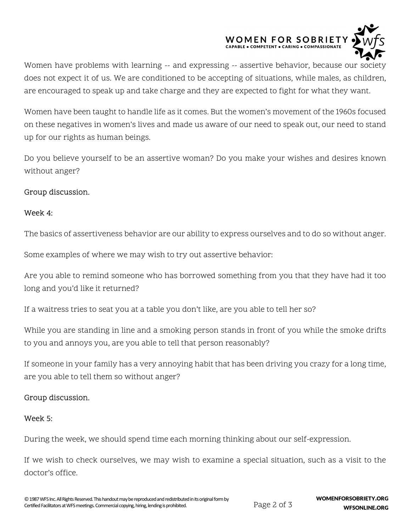

Women have problems with learning -- and expressing -- assertive behavior, because our society does not expect it of us. We are conditioned to be accepting of situations, while males, as children, are encouraged to speak up and take charge and they are expected to fight for what they want.

Women have been taught to handle life as it comes. But the women's movement of the 1960s focused on these negatives in women's lives and made us aware of our need to speak out, our need to stand up for our rights as human beings.

Do you believe yourself to be an assertive woman? Do you make your wishes and desires known without anger?

### Group discussion.

#### Week 4:

The basics of assertiveness behavior are our ability to express ourselves and to do so without anger.

Some examples of where we may wish to try out assertive behavior:

Are you able to remind someone who has borrowed something from you that they have had it too long and you'd like it returned?

If a waitress tries to seat you at a table you don't like, are you able to tell her so?

While you are standing in line and a smoking person stands in front of you while the smoke drifts to you and annoys you, are you able to tell that person reasonably?

If someone in your family has a very annoying habit that has been driving you crazy for a long time, are you able to tell them so without anger?

## Group discussion.

#### Week 5:

During the week, we should spend time each morning thinking about our self-expression.

If we wish to check ourselves, we may wish to examine a special situation, such as a visit to the doctor's office.

Page 2 of 3